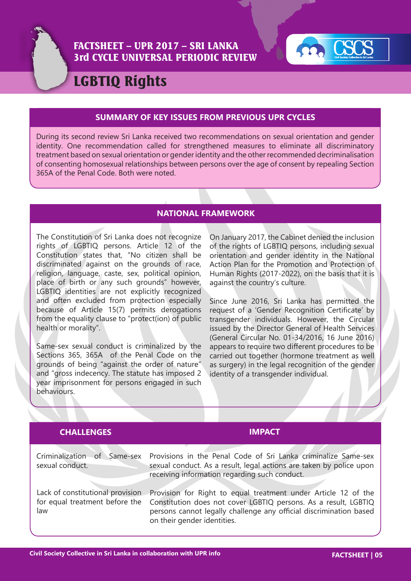

## FACTSHEET – UPR 2017 – SRI LANKA 3rd CYCLE UNIVERSAL PERIODIC REVIEW



# LGBTIQ Rights

#### **SUMMARY OF KEY ISSUES FROM PREVIOUS UPR CYCLES**

During its second review Sri Lanka received two recommendations on sexual orientation and gender identity. One recommendation called for strengthened measures to eliminate all discriminatory treatment based on sexual orientation or gender identity and the other recommended decriminalisation of consenting homosexual relationships between persons over the age of consent by repealing Section 365A of the Penal Code. Both were noted.

### **NATIONAL FRAMEWORK**

The Constitution of Sri Lanka does not recognize rights of LGBTIQ persons. Article 12 of the Constitution states that, "No citizen shall be discriminated against on the grounds of race, religion, language, caste, sex, political opinion, place of birth or any such grounds" however, LGBTIQ identities are not explicitly recognized and often excluded from protection especially because of Article 15(7) permits derogations from the equality clause to "protect(ion) of public health or morality".

Same-sex sexual conduct is criminalized by the Sections 365, 365A of the Penal Code on the grounds of being "against the order of nature" and "gross indecency. The statute has imposed 2 year imprisonment for persons engaged in such behaviours.

On January 2017, the Cabinet denied the inclusion of the rights of LGBTIQ persons, including sexual orientation and gender identity in the National Action Plan for the Promotion and Protection of Human Rights (2017-2022), on the basis that it is against the country's culture.

Since June 2016, Sri Lanka has permitted the request of a 'Gender Recognition Certificate' by transgender individuals. However, the Circular issued by the Director General of Health Services (General Circular No. 01-34/2016, 16 June 2016) appears to require two different procedures to be carried out together (hormone treatment as well as surgery) in the legal recognition of the gender identity of a transgender individual.

| <b>CHALLENGES</b>                                                         | <b>IMPACT</b>                                                                                                                                                                                                                          |
|---------------------------------------------------------------------------|----------------------------------------------------------------------------------------------------------------------------------------------------------------------------------------------------------------------------------------|
| Criminalization<br>of<br>Same-sex<br>sexual conduct.                      | Provisions in the Penal Code of Sri Lanka criminalize Same-sex<br>sexual conduct. As a result, legal actions are taken by police upon<br>receiving information regarding such conduct.                                                 |
| Lack of constitutional provision<br>for equal treatment before the<br>law | Provision for Right to equal treatment under Article 12 of the<br>Constitution does not cover LGBTIQ persons. As a result, LGBTIQ<br>persons cannot legally challenge any official discrimination based<br>on their gender identities. |